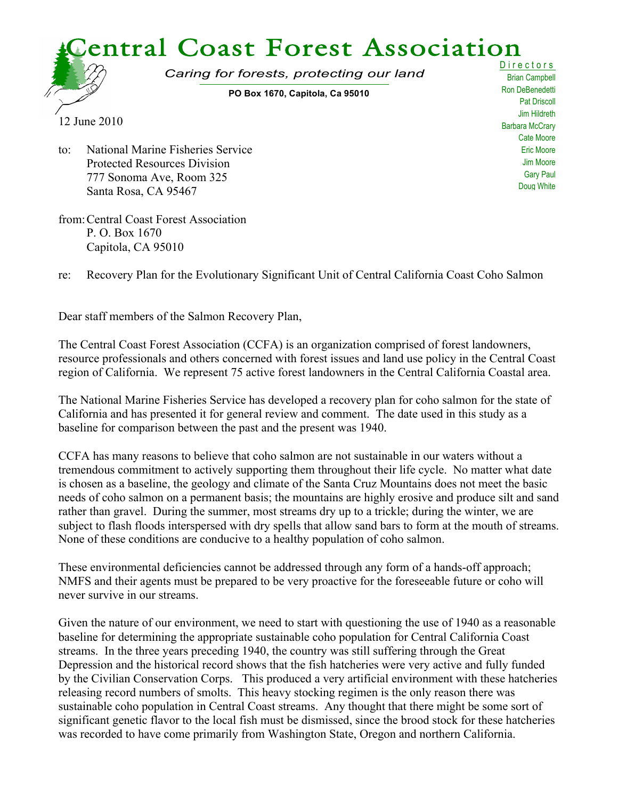

Cate Moore Eric Moore Jim Moore Gary Paul Doug White

to: National Marine Fisheries Service Protected Resources Division 777 Sonoma Ave, Room 325 Santa Rosa, CA 95467

from:Central Coast Forest Association P. O. Box 1670 Capitola, CA 95010

re: Recovery Plan for the Evolutionary Significant Unit of Central California Coast Coho Salmon

Dear staff members of the Salmon Recovery Plan,

The Central Coast Forest Association (CCFA) is an organization comprised of forest landowners, resource professionals and others concerned with forest issues and land use policy in the Central Coast region of California. We represent 75 active forest landowners in the Central California Coastal area.

The National Marine Fisheries Service has developed a recovery plan for coho salmon for the state of California and has presented it for general review and comment. The date used in this study as a baseline for comparison between the past and the present was 1940.

CCFA has many reasons to believe that coho salmon are not sustainable in our waters without a tremendous commitment to actively supporting them throughout their life cycle. No matter what date is chosen as a baseline, the geology and climate of the Santa Cruz Mountains does not meet the basic needs of coho salmon on a permanent basis; the mountains are highly erosive and produce silt and sand rather than gravel. During the summer, most streams dry up to a trickle; during the winter, we are subject to flash floods interspersed with dry spells that allow sand bars to form at the mouth of streams. None of these conditions are conducive to a healthy population of coho salmon.

These environmental deficiencies cannot be addressed through any form of a hands-off approach; NMFS and their agents must be prepared to be very proactive for the foreseeable future or coho will never survive in our streams.

Given the nature of our environment, we need to start with questioning the use of 1940 as a reasonable baseline for determining the appropriate sustainable coho population for Central California Coast streams. In the three years preceding 1940, the country was still suffering through the Great Depression and the historical record shows that the fish hatcheries were very active and fully funded by the Civilian Conservation Corps. This produced a very artificial environment with these hatcheries releasing record numbers of smolts. This heavy stocking regimen is the only reason there was sustainable coho population in Central Coast streams. Any thought that there might be some sort of significant genetic flavor to the local fish must be dismissed, since the brood stock for these hatcheries was recorded to have come primarily from Washington State, Oregon and northern California.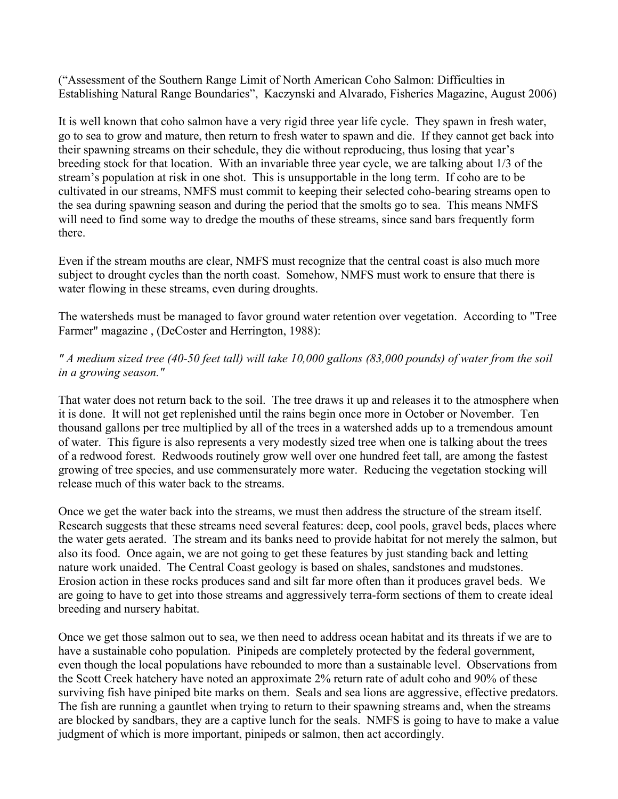("Assessment of the Southern Range Limit of North American Coho Salmon: Difficulties in Establishing Natural Range Boundaries", Kaczynski and Alvarado, Fisheries Magazine, August 2006)

It is well known that coho salmon have a very rigid three year life cycle. They spawn in fresh water, go to sea to grow and mature, then return to fresh water to spawn and die. If they cannot get back into their spawning streams on their schedule, they die without reproducing, thus losing that year's breeding stock for that location. With an invariable three year cycle, we are talking about 1/3 of the stream's population at risk in one shot. This is unsupportable in the long term. If coho are to be cultivated in our streams, NMFS must commit to keeping their selected coho-bearing streams open to the sea during spawning season and during the period that the smolts go to sea. This means NMFS will need to find some way to dredge the mouths of these streams, since sand bars frequently form there.

Even if the stream mouths are clear, NMFS must recognize that the central coast is also much more subject to drought cycles than the north coast. Somehow, NMFS must work to ensure that there is water flowing in these streams, even during droughts.

The watersheds must be managed to favor ground water retention over vegetation. According to "Tree Farmer" magazine , (DeCoster and Herrington, 1988):

## *" A medium sized tree (40-50 feet tall) will take 10,000 gallons (83,000 pounds) of water from the soil in a growing season."*

That water does not return back to the soil. The tree draws it up and releases it to the atmosphere when it is done. It will not get replenished until the rains begin once more in October or November. Ten thousand gallons per tree multiplied by all of the trees in a watershed adds up to a tremendous amount of water. This figure is also represents a very modestly sized tree when one is talking about the trees of a redwood forest. Redwoods routinely grow well over one hundred feet tall, are among the fastest growing of tree species, and use commensurately more water. Reducing the vegetation stocking will release much of this water back to the streams.

Once we get the water back into the streams, we must then address the structure of the stream itself. Research suggests that these streams need several features: deep, cool pools, gravel beds, places where the water gets aerated. The stream and its banks need to provide habitat for not merely the salmon, but also its food. Once again, we are not going to get these features by just standing back and letting nature work unaided. The Central Coast geology is based on shales, sandstones and mudstones. Erosion action in these rocks produces sand and silt far more often than it produces gravel beds. We are going to have to get into those streams and aggressively terra-form sections of them to create ideal breeding and nursery habitat.

Once we get those salmon out to sea, we then need to address ocean habitat and its threats if we are to have a sustainable coho population. Pinipeds are completely protected by the federal government, even though the local populations have rebounded to more than a sustainable level. Observations from the Scott Creek hatchery have noted an approximate 2% return rate of adult coho and 90% of these surviving fish have piniped bite marks on them. Seals and sea lions are aggressive, effective predators. The fish are running a gauntlet when trying to return to their spawning streams and, when the streams are blocked by sandbars, they are a captive lunch for the seals. NMFS is going to have to make a value judgment of which is more important, pinipeds or salmon, then act accordingly.